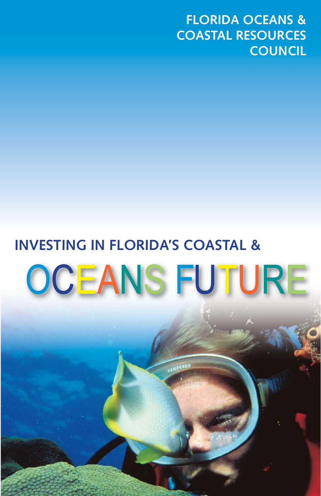**FLORIDA OCEANS & COASTAL RESOURCES COUNCIL** 

# **INVESTING IN FLORIDA'S COASTAL &**  OCEANS FUTURE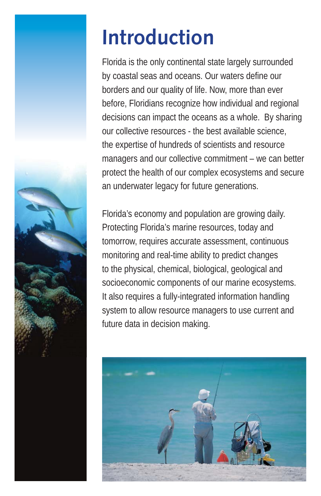

## **Introduction**

Florida is the only continental state largely surrounded by coastal seas and oceans. Our waters define our borders and our quality of life. Now, more than ever before, Floridians recognize how individual and regional decisions can impact the oceans as a whole. By sharing our collective resources - the best available science, the expertise of hundreds of scientists and resource managers and our collective commitment – we can better protect the health of our complex ecosystems and secure an underwater legacy for future generations.

Florida's economy and population are growing daily. Protecting Florida's marine resources, today and tomorrow, requires accurate assessment, continuous monitoring and real-time ability to predict changes to the physical, chemical, biological, geological and socioeconomic components of our marine ecosystems. It also requires a fully-integrated information handling system to allow resource managers to use current and future data in decision making.

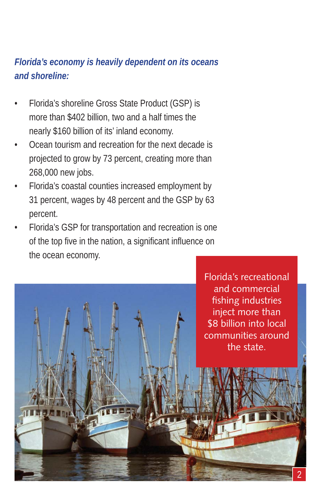#### *Florida's economy is heavily dependent on its oceans and shoreline:*

- Florida's shoreline Gross State Product (GSP) is more than \$402 billion, two and a half times the nearly \$160 billion of its' inland economy.
- Ocean tourism and recreation for the next decade is projected to grow by 73 percent, creating more than 268,000 new jobs.
- Florida's coastal counties increased employment by 31 percent, wages by 48 percent and the GSP by 63 percent.
- Florida's GSP for transportation and recreation is one of the top five in the nation, a significant influence on the ocean economy.

Florida's recreational and commercial fishing industries inject more than \$8 billion into local communities around the state.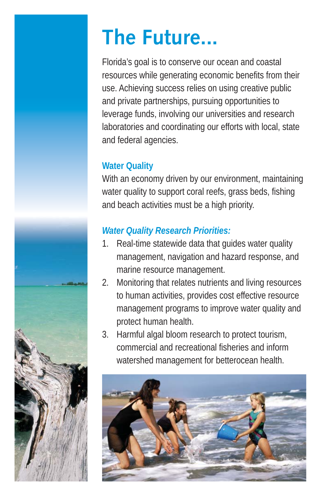### **The Future...**

Florida's goal is to conserve our ocean and coastal resources while generating economic benefits from their use. Achieving success relies on using creative public and private partnerships, pursuing opportunities to leverage funds, involving our universities and research laboratories and coordinating our efforts with local, state and federal agencies.

#### **Water Quality**

With an economy driven by our environment, maintaining water quality to support coral reefs, grass beds, fishing and beach activities must be a high priority.

#### *Water Quality Research Priorities:*

- 1. Real-time statewide data that quides water quality management, navigation and hazard response, and marine resource management.
- 2. Monitoring that relates nutrients and living resources to human activities, provides cost effective resource management programs to improve water quality and protect human health.
- 3. Harmful algal bloom research to protect tourism, commercial and recreational fisheries and inform watershed management for betterocean health.



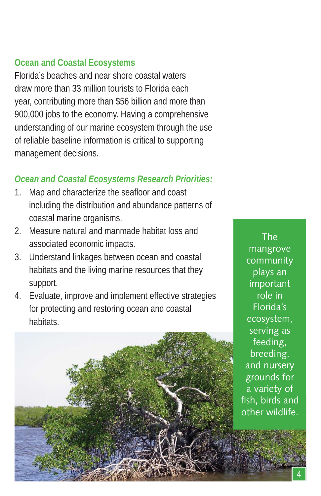#### **Ocean and Coastal Ecosystems**

Florida's beaches and near shore coastal waters draw more than 33 million tourists to Florida each year, contributing more than \$56 billion and more than 900,000 jobs to the economy. Having a comprehensive understanding of our marine ecosystem through the use of reliable baseline information is critical to supporting management decisions.

#### *Ocean and Coastal Ecosystems Research Priorities:*

- 1. Map and characterize the seafloor and coast including the distribution and abundance patterns of coastal marine organisms.
- 2. Measure natural and manmade habitat loss and associated economic impacts.
- 3. Understand linkages between ocean and coastal habitats and the living marine resources that they support.
- 4. Evaluate, improve and implement effective strategies for protecting and restoring ocean and coastal habitats.

The mangrove community plays an important role in Florida's ecosystem, serving as feeding, breeding, and nursery grounds for a variety of fish, birds and other wildlife.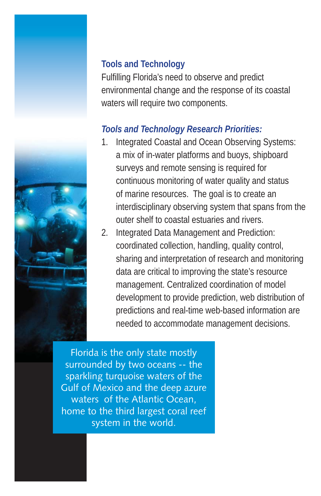



#### **Tools and Technology**

Fulfilling Florida's need to observe and predict environmental change and the response of its coastal waters will require two components.

#### *Tools and Technology Research Priorities:*

- 1. Integrated Coastal and Ocean Observing Systems: a mix of in-water platforms and buoys, shipboard surveys and remote sensing is required for continuous monitoring of water quality and status of marine resources. The goal is to create an interdisciplinary observing system that spans from the outer shelf to coastal estuaries and rivers.
- 2. Integrated Data Management and Prediction: coordinated collection, handling, quality control, sharing and interpretation of research and monitoring data are critical to improving the state's resource management. Centralized coordination of model development to provide prediction, web distribution of predictions and real-time web-based information are needed to accommodate management decisions.

Florida is the only state mostly surrounded by two oceans -- the sparkling turquoise waters of the Gulf of Mexico and the deep azure waters of the Atlantic Ocean, home to the third largest coral reef system in the world.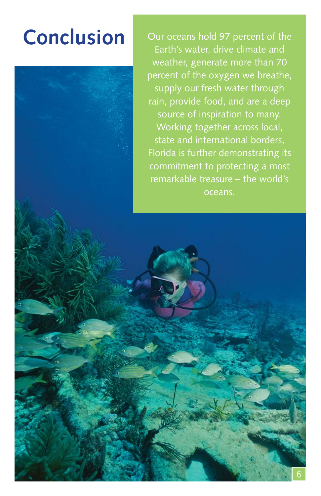Conclusion **Our oceans hold 97 percent of the** Earth's water, drive climate and weather, generate more than 70 percent of the oxygen we breathe, supply our fresh water through rain, provide food, and are a deep source of inspiration to many. Working together across local, state and international borders, Florida is further demonstrating its commitment to protecting a most remarkable treasure – the world's oceans.